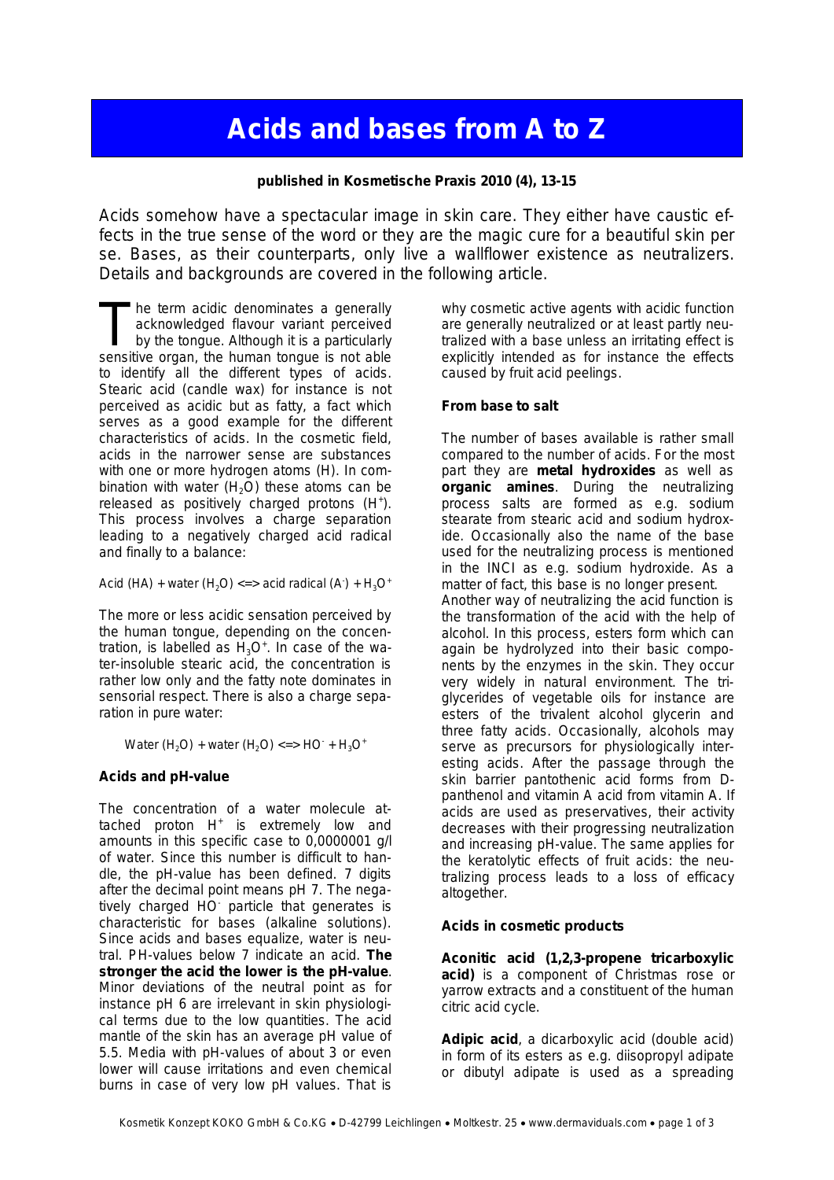## **Acids and bases from A to Z**

**published in Kosmetische Praxis 2010 (4), 13-15**

Acids somehow have a spectacular image in skin care. They either have caustic effects in the true sense of the word or they are the magic cure for a beautiful skin per se. Bases, as their counterparts, only live a wallflower existence as neutralizers. Details and backgrounds are covered in the following article.

he term acidic denominates a generally acknowledged flavour variant perceived by the tongue. Although it is a particularly The term acidic denominates a generally acknowledged flavour variant perceived<br>by the tongue. Although it is a particularly<br>sensitive organ, the human tongue is not able to identify all the different types of acids. Stearic acid (candle wax) for instance is not perceived as acidic but as fatty, a fact which serves as a good example for the different characteristics of acids. In the cosmetic field, acids in the narrower sense are substances with one or more hydrogen atoms (H). In combination with water  $(H<sub>2</sub>O)$  these atoms can be released as positively charged protons (H<sup>+</sup>). This process involves a charge separation leading to a negatively charged acid radical and finally to a balance:

Acid (HA) + water (H<sub>2</sub>O) <=> acid radical (A) + H<sub>3</sub>O<sup>+</sup>

The more or less acidic sensation perceived by the human tongue, depending on the concentration, is labelled as  $H_3O^*$ . In case of the water-insoluble stearic acid, the concentration is rather low only and the fatty note dominates in sensorial respect. There is also a charge separation in pure water:

Water  $(H_2O)$  + water  $(H_2O)$  <=> HO<sup>-</sup> +  $H_3O^+$ 

## **Acids and pH-value**

The concentration of a water molecule attached proton H<sup>+</sup> is extremely low and amounts in this specific case to 0,0000001 g/l of water. Since this number is difficult to handle, the pH-value has been defined. 7 digits after the decimal point means pH 7. The negatively charged HO particle that generates is characteristic for bases (alkaline solutions). Since acids and bases equalize, water is neutral. PH-values below 7 indicate an acid. **The stronger the acid the lower is the pH-value**. Minor deviations of the neutral point as for instance pH 6 are irrelevant in skin physiological terms due to the low quantities. The acid mantle of the skin has an average pH value of 5.5. Media with pH-values of about 3 or even lower will cause irritations and even chemical burns in case of very low pH values. That is

why cosmetic active agents with acidic function are generally neutralized or at least partly neutralized with a base unless an irritating effect is explicitly intended as for instance the effects caused by fruit acid peelings.

## **From base to salt**

The number of bases available is rather small compared to the number of acids. For the most part they are **metal hydroxides** as well as **organic amines**. During the neutralizing process salts are formed as e.g. sodium stearate from stearic acid and sodium hydroxide. Occasionally also the name of the base used for the neutralizing process is mentioned in the INCI as e.g. sodium hydroxide. As a matter of fact, this base is no longer present. Another way of neutralizing the acid function is the transformation of the acid with the help of alcohol. In this process, esters form which can again be hydrolyzed into their basic components by the enzymes in the skin. They occur very widely in natural environment. The triglycerides of vegetable oils for instance are esters of the trivalent alcohol glycerin and three fatty acids. Occasionally, alcohols may serve as precursors for physiologically interesting acids. After the passage through the skin barrier pantothenic acid forms from Dpanthenol and vitamin A acid from vitamin A. If acids are used as preservatives, their activity decreases with their progressing neutralization and increasing pH-value. The same applies for the keratolytic effects of fruit acids: the neutralizing process leads to a loss of efficacy altogether.

## **Acids in cosmetic products**

**Aconitic acid (1,2,3-propene tricarboxylic acid)** is a component of Christmas rose or yarrow extracts and a constituent of the human citric acid cycle.

**Adipic acid**, a dicarboxylic acid (double acid) in form of its esters as e.g. diisopropyl adipate or dibutyl adipate is used as a spreading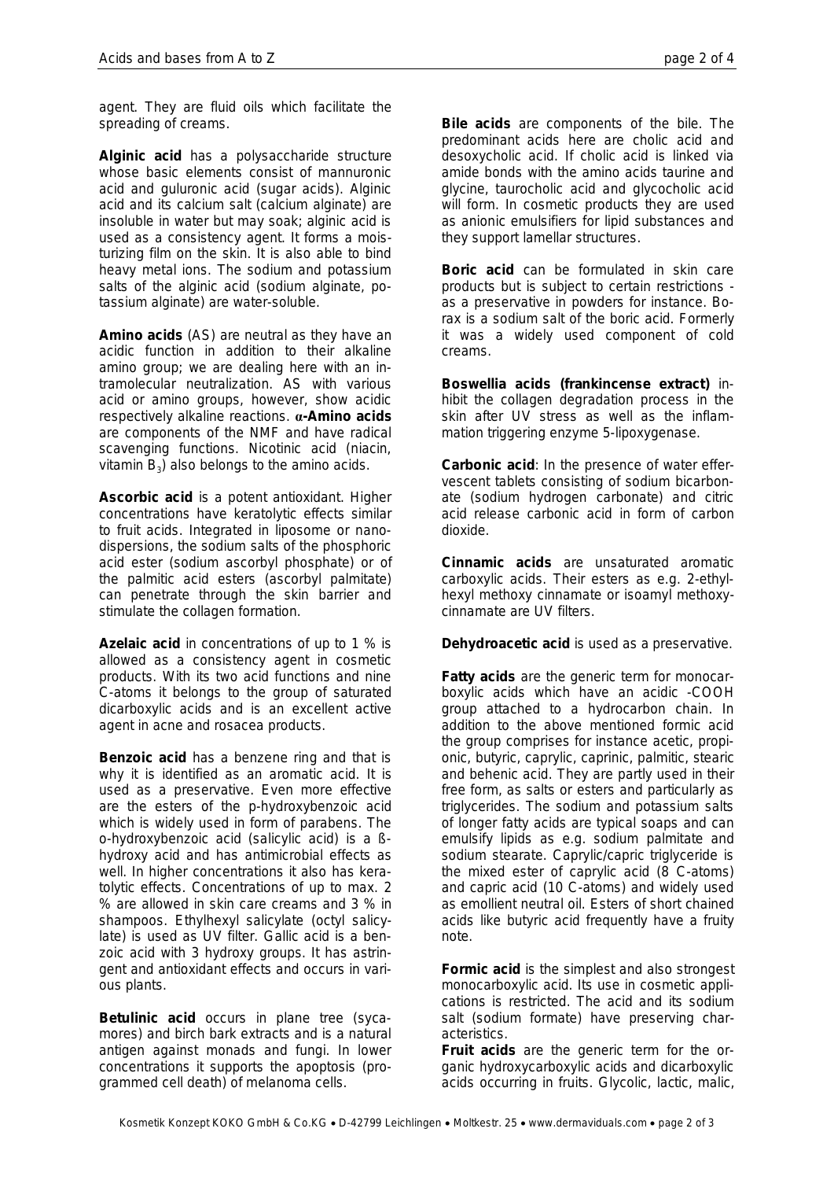agent. They are fluid oils which facilitate the spreading of creams.

**Alginic acid** has a polysaccharide structure whose basic elements consist of mannuronic acid and guluronic acid (sugar acids). Alginic acid and its calcium salt (calcium alginate) are insoluble in water but may soak; alginic acid is used as a consistency agent. It forms a moisturizing film on the skin. It is also able to bind heavy metal ions. The sodium and potassium salts of the alginic acid (sodium alginate, potassium alginate) are water-soluble.

**Amino acids** (AS) are neutral as they have an acidic function in addition to their alkaline amino group; we are dealing here with an intramolecular neutralization. AS with various acid or amino groups, however, show acidic respectively alkaline reactions. **α-Amino acids** are components of the NMF and have radical scavenging functions. Nicotinic acid (niacin, vitamin  $B_3$ ) also belongs to the amino acids.

**Ascorbic acid** is a potent antioxidant. Higher concentrations have keratolytic effects similar to fruit acids. Integrated in liposome or nanodispersions, the sodium salts of the phosphoric acid ester (sodium ascorbyl phosphate) or of the palmitic acid esters (ascorbyl palmitate) can penetrate through the skin barrier and stimulate the collagen formation.

**Azelaic acid** in concentrations of up to 1 % is allowed as a consistency agent in cosmetic products. With its two acid functions and nine C-atoms it belongs to the group of saturated dicarboxylic acids and is an excellent active agent in acne and rosacea products.

**Benzoic acid** has a benzene ring and that is why it is identified as an aromatic acid. It is used as a preservative. Even more effective are the esters of the p-hydroxybenzoic acid which is widely used in form of parabens. The o-hydroxybenzoic acid (salicylic acid) is a ßhydroxy acid and has antimicrobial effects as well. In higher concentrations it also has keratolytic effects. Concentrations of up to max. 2 % are allowed in skin care creams and 3 % in shampoos. Ethylhexyl salicylate (octyl salicylate) is used as UV filter. Gallic acid is a benzoic acid with 3 hydroxy groups. It has astringent and antioxidant effects and occurs in various plants.

**Betulinic acid** occurs in plane tree (sycamores) and birch bark extracts and is a natural antigen against monads and fungi. In lower concentrations it supports the apoptosis (programmed cell death) of melanoma cells.

**Bile acids** are components of the bile. The predominant acids here are cholic acid and desoxycholic acid. If cholic acid is linked via amide bonds with the amino acids taurine and glycine, taurocholic acid and glycocholic acid will form. In cosmetic products they are used as anionic emulsifiers for lipid substances and they support lamellar structures.

**Boric acid** can be formulated in skin care products but is subject to certain restrictions as a preservative in powders for instance. Borax is a sodium salt of the boric acid. Formerly it was a widely used component of cold creams.

**Boswellia acids (frankincense extract)** inhibit the collagen degradation process in the skin after UV stress as well as the inflammation triggering enzyme 5-lipoxygenase.

**Carbonic acid**: In the presence of water effervescent tablets consisting of sodium bicarbonate (sodium hydrogen carbonate) and citric acid release carbonic acid in form of carbon dioxide.

**Cinnamic acids** are unsaturated aromatic carboxylic acids. Their esters as e.g. 2-ethylhexyl methoxy cinnamate or isoamyl methoxycinnamate are UV filters.

**Dehydroacetic acid** is used as a preservative.

**Fatty acids** are the generic term for monocarboxylic acids which have an acidic -COOH group attached to a hydrocarbon chain. In addition to the above mentioned formic acid the group comprises for instance acetic, propionic, butyric, caprylic, caprinic, palmitic, stearic and behenic acid. They are partly used in their free form, as salts or esters and particularly as triglycerides. The sodium and potassium salts of longer fatty acids are typical soaps and can emulsify lipids as e.g. sodium palmitate and sodium stearate. Caprylic/capric triglyceride is the mixed ester of caprylic acid (8 C-atoms) and capric acid (10 C-atoms) and widely used as emollient neutral oil. Esters of short chained acids like butyric acid frequently have a fruity note.

**Formic acid** is the simplest and also strongest monocarboxylic acid. Its use in cosmetic applications is restricted. The acid and its sodium salt (sodium formate) have preserving characteristics.

**Fruit acids** are the generic term for the organic hydroxycarboxylic acids and dicarboxylic acids occurring in fruits. Glycolic, lactic, malic,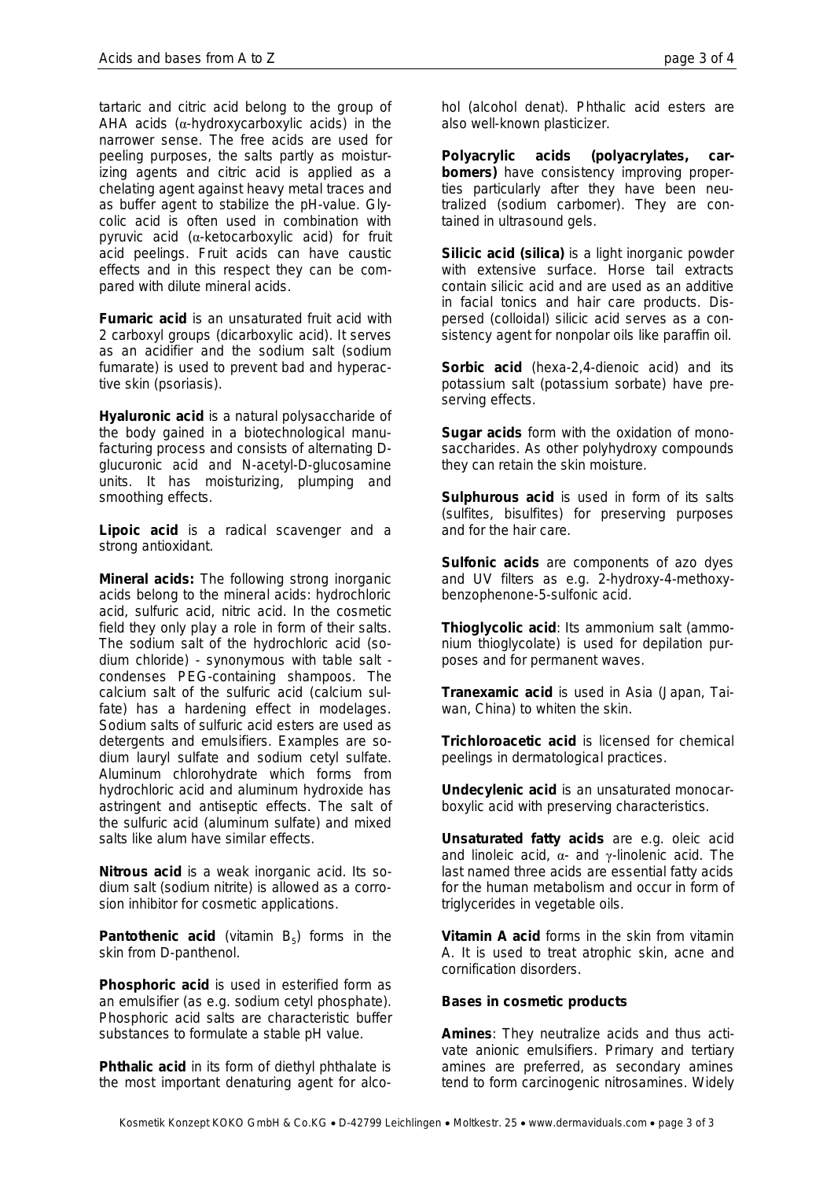tartaric and citric acid belong to the group of AHA acids  $(\alpha$ -hydroxycarboxylic acids) in the narrower sense. The free acids are used for peeling purposes, the salts partly as moisturizing agents and citric acid is applied as a chelating agent against heavy metal traces and as buffer agent to stabilize the pH-value. Glycolic acid is often used in combination with pyruvic acid (α-ketocarboxylic acid) for fruit acid peelings. Fruit acids can have caustic effects and in this respect they can be compared with dilute mineral acids.

**Fumaric acid** is an unsaturated fruit acid with 2 carboxyl groups (dicarboxylic acid). It serves as an acidifier and the sodium salt (sodium fumarate) is used to prevent bad and hyperactive skin (psoriasis).

**Hyaluronic acid** is a natural polysaccharide of the body gained in a biotechnological manufacturing process and consists of alternating Dglucuronic acid and N-acetyl-D-glucosamine units. It has moisturizing, plumping and smoothing effects.

**Lipoic acid** is a radical scavenger and a strong antioxidant.

**Mineral acids:** The following strong inorganic acids belong to the mineral acids: hydrochloric acid, sulfuric acid, nitric acid. In the cosmetic field they only play a role in form of their salts. The sodium salt of the hydrochloric acid (sodium chloride) - synonymous with table salt condenses PEG-containing shampoos. The calcium salt of the sulfuric acid (calcium sulfate) has a hardening effect in modelages. Sodium salts of sulfuric acid esters are used as detergents and emulsifiers. Examples are sodium lauryl sulfate and sodium cetyl sulfate. Aluminum chlorohydrate which forms from hydrochloric acid and aluminum hydroxide has astringent and antiseptic effects. The salt of the sulfuric acid (aluminum sulfate) and mixed salts like alum have similar effects.

**Nitrous acid** is a weak inorganic acid. Its sodium salt (sodium nitrite) is allowed as a corrosion inhibitor for cosmetic applications.

Pantothenic acid (vitamin B<sub>5</sub>) forms in the skin from D-panthenol.

**Phosphoric acid** is used in esterified form as an emulsifier (as e.g. sodium cetyl phosphate). Phosphoric acid salts are characteristic buffer substances to formulate a stable pH value.

**Phthalic acid** in its form of diethyl phthalate is the most important denaturing agent for alcohol (alcohol denat). Phthalic acid esters are also well-known plasticizer.

**Polyacrylic acids (polyacrylates, carbomers)** have consistency improving properties particularly after they have been neutralized (sodium carbomer). They are contained in ultrasound gels.

**Silicic acid (silica)** is a light inorganic powder with extensive surface. Horse tail extracts contain silicic acid and are used as an additive in facial tonics and hair care products. Dispersed (colloidal) silicic acid serves as a consistency agent for nonpolar oils like paraffin oil.

**Sorbic acid** (hexa-2,4-dienoic acid) and its potassium salt (potassium sorbate) have preserving effects.

**Sugar acids** form with the oxidation of monosaccharides. As other polyhydroxy compounds they can retain the skin moisture.

**Sulphurous acid** is used in form of its salts (sulfites, bisulfites) for preserving purposes and for the hair care.

**Sulfonic acids** are components of azo dyes and UV filters as e.g. 2-hydroxy-4-methoxybenzophenone-5-sulfonic acid.

**Thioglycolic acid**: Its ammonium salt (ammonium thioglycolate) is used for depilation purposes and for permanent waves.

**Tranexamic acid** is used in Asia (Japan, Taiwan, China) to whiten the skin.

**Trichloroacetic acid** is licensed for chemical peelings in dermatological practices.

**Undecylenic acid** is an unsaturated monocarboxylic acid with preserving characteristics.

**Unsaturated fatty acids** are e.g. oleic acid and linoleic acid,  $\alpha$ - and γ-linolenic acid. The last named three acids are essential fatty acids for the human metabolism and occur in form of triglycerides in vegetable oils.

**Vitamin A acid** forms in the skin from vitamin A. It is used to treat atrophic skin, acne and cornification disorders.

**Bases in cosmetic products**

**Amines**: They neutralize acids and thus activate anionic emulsifiers. Primary and tertiary amines are preferred, as secondary amines tend to form carcinogenic nitrosamines. Widely